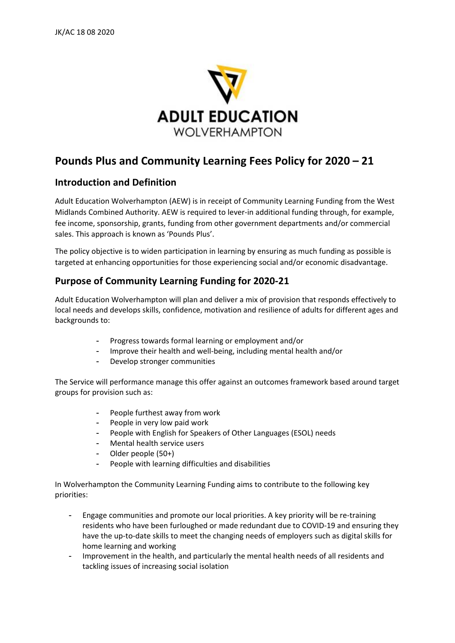

# **Pounds Plus and Community Learning Fees Policy for 2020 – 21**

## **Introduction and Definition**

Adult Education Wolverhampton (AEW) is in receipt of Community Learning Funding from the West Midlands Combined Authority. AEW is required to lever-in additional funding through, for example, fee income, sponsorship, grants, funding from other government departments and/or commercial sales. This approach is known as 'Pounds Plus'.

The policy objective is to widen participation in learning by ensuring as much funding as possible is targeted at enhancing opportunities for those experiencing social and/or economic disadvantage.

## **Purpose of Community Learning Funding for 2020-21**

Adult Education Wolverhampton will plan and deliver a mix of provision that responds effectively to local needs and develops skills, confidence, motivation and resilience of adults for different ages and backgrounds to:

- Progress towards formal learning or employment and/or
- Improve their health and well-being, including mental health and/or
- Develop stronger communities

The Service will performance manage this offer against an outcomes framework based around target groups for provision such as:

- People furthest away from work
- People in very low paid work
- People with English for Speakers of Other Languages (ESOL) needs
- Mental health service users
- Older people (50+)
- People with learning difficulties and disabilities

In Wolverhampton the Community Learning Funding aims to contribute to the following key priorities:

- Engage communities and promote our local priorities. A key priority will be re-training residents who have been furloughed or made redundant due to COVID-19 and ensuring they have the up-to-date skills to meet the changing needs of employers such as digital skills for home learning and working
- Improvement in the health, and particularly the mental health needs of all residents and tackling issues of increasing social isolation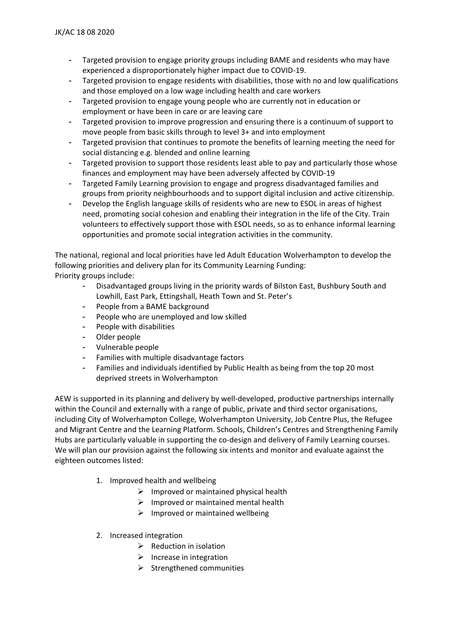- Targeted provision to engage priority groups including BAME and residents who may have experienced a disproportionately higher impact due to COVID-19.
- Targeted provision to engage residents with disabilities, those with no and low qualifications and those employed on a low wage including health and care workers
- Targeted provision to engage young people who are currently not in education or employment or have been in care or are leaving care
- Targeted provision to improve progression and ensuring there is a continuum of support to move people from basic skills through to level 3+ and into employment
- Targeted provision that continues to promote the benefits of learning meeting the need for social distancing e.g. blended and online learning
- Targeted provision to support those residents least able to pay and particularly those whose finances and employment may have been adversely affected by COVID-19
- Targeted Family Learning provision to engage and progress disadvantaged families and groups from priority neighbourhoods and to support digital inclusion and active citizenship.
- Develop the English language skills of residents who are new to ESOL in areas of highest need, promoting social cohesion and enabling their integration in the life of the City. Train volunteers to effectively support those with ESOL needs, so as to enhance informal learning opportunities and promote social integration activities in the community.

The national, regional and local priorities have led Adult Education Wolverhampton to develop the following priorities and delivery plan for its Community Learning Funding: Priority groups include:

- Disadvantaged groups living in the priority wards of Bilston East, Bushbury South and Lowhill, East Park, Ettingshall, Heath Town and St. Peter's
- People from a BAME background
- People who are unemployed and low skilled
- People with disabilities
- Older people
- Vulnerable people
- Families with multiple disadvantage factors
- Families and individuals identified by Public Health as being from the top 20 most deprived streets in Wolverhampton

AEW is supported in its planning and delivery by well-developed, productive partnerships internally within the Council and externally with a range of public, private and third sector organisations, including City of Wolverhampton College, Wolverhampton University, Job Centre Plus, the Refugee and Migrant Centre and the Learning Platform. Schools, Children's Centres and Strengthening Family Hubs are particularly valuable in supporting the co-design and delivery of Family Learning courses. We will plan our provision against the following six intents and monitor and evaluate against the eighteen outcomes listed:

- 1. Improved health and wellbeing
	- $\triangleright$  Improved or maintained physical health
	- $\triangleright$  Improved or maintained mental health
	- $\triangleright$  Improved or maintained wellbeing
- 2. Increased integration
	- $\triangleright$  Reduction in isolation
	- $\triangleright$  Increase in integration
	- $\triangleright$  Strengthened communities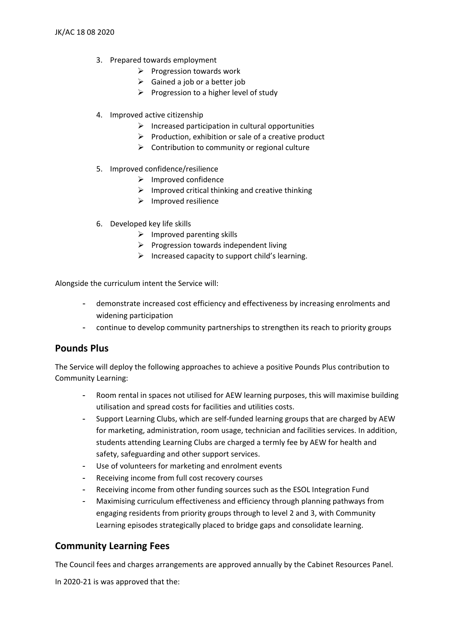- 3. Prepared towards employment
	- $\triangleright$  Progression towards work
	- $\triangleright$  Gained a job or a better job
	- $\triangleright$  Progression to a higher level of study
- 4. Improved active citizenship
	- $\triangleright$  Increased participation in cultural opportunities
	- $\triangleright$  Production, exhibition or sale of a creative product
	- $\triangleright$  Contribution to community or regional culture
- 5. Improved confidence/resilience
	- $\triangleright$  Improved confidence
	- $\triangleright$  Improved critical thinking and creative thinking
	- $\triangleright$  Improved resilience
- 6. Developed key life skills
	- $\triangleright$  Improved parenting skills
	- $\triangleright$  Progression towards independent living
	- $\triangleright$  Increased capacity to support child's learning.

Alongside the curriculum intent the Service will:

- demonstrate increased cost efficiency and effectiveness by increasing enrolments and widening participation
- continue to develop community partnerships to strengthen its reach to priority groups

### **Pounds Plus**

The Service will deploy the following approaches to achieve a positive Pounds Plus contribution to Community Learning:

- Room rental in spaces not utilised for AEW learning purposes, this will maximise building utilisation and spread costs for facilities and utilities costs.
- Support Learning Clubs, which are self-funded learning groups that are charged by AEW for marketing, administration, room usage, technician and facilities services. In addition, students attending Learning Clubs are charged a termly fee by AEW for health and safety, safeguarding and other support services.
- Use of volunteers for marketing and enrolment events
- Receiving income from full cost recovery courses
- Receiving income from other funding sources such as the ESOL Integration Fund
- Maximising curriculum effectiveness and efficiency through planning pathways from engaging residents from priority groups through to level 2 and 3, with Community Learning episodes strategically placed to bridge gaps and consolidate learning.

### **Community Learning Fees**

The Council fees and charges arrangements are approved annually by the Cabinet Resources Panel.

In 2020-21 is was approved that the: